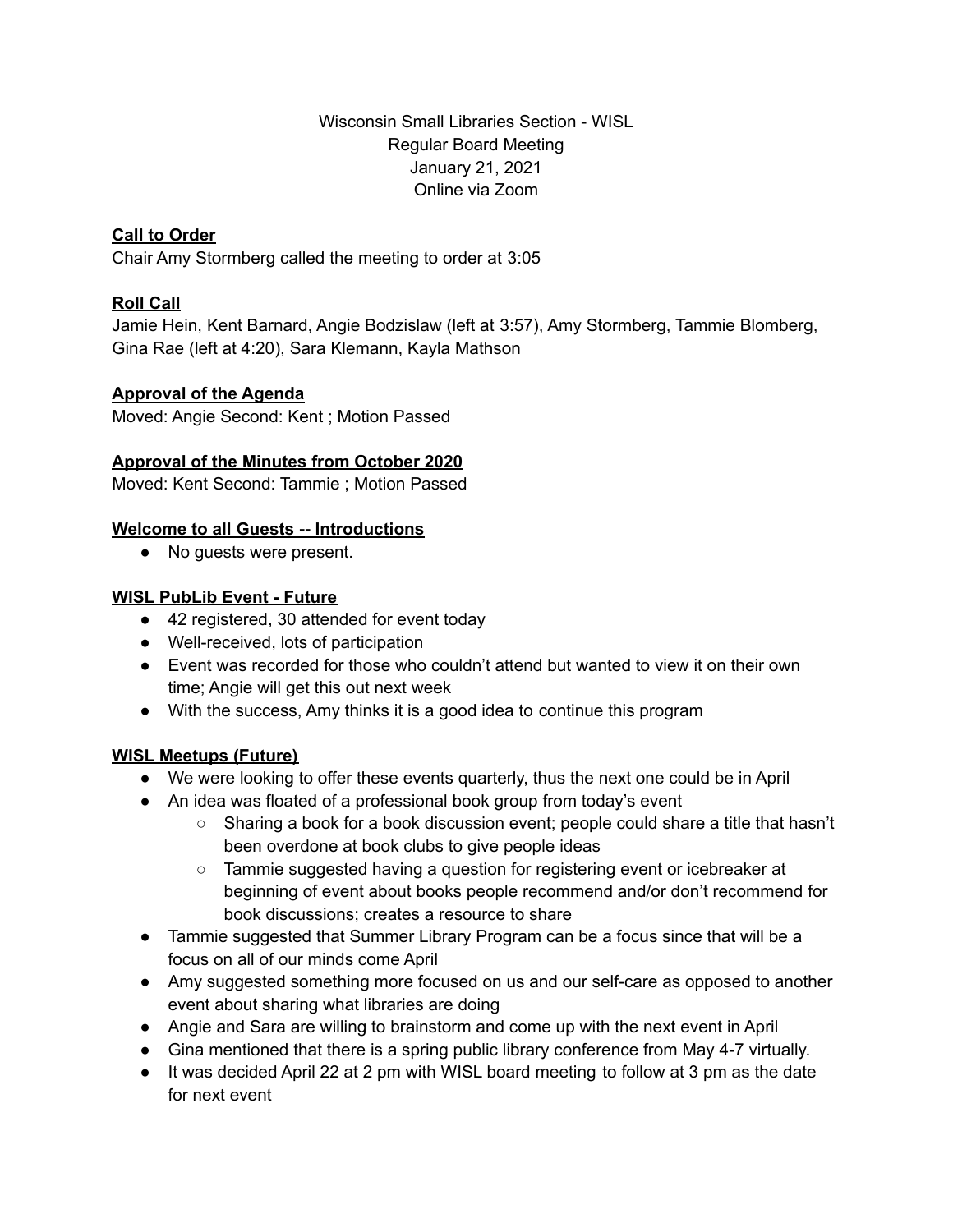Wisconsin Small Libraries Section - WISL Regular Board Meeting January 21, 2021 Online via Zoom

# **Call to Order**

Chair Amy Stormberg called the meeting to order at 3:05

# **Roll Call**

Jamie Hein, Kent Barnard, Angie Bodzislaw (left at 3:57), Amy Stormberg, Tammie Blomberg, Gina Rae (left at 4:20), Sara Klemann, Kayla Mathson

### **Approval of the Agenda**

Moved: Angie Second: Kent ; Motion Passed

# **Approval of the Minutes from October 2020**

Moved: Kent Second: Tammie ; Motion Passed

# **Welcome to all Guests -- Introductions**

• No guests were present.

### **WISL PubLib Event - Future**

- 42 registered, 30 attended for event today
- Well-received, lots of participation
- Event was recorded for those who couldn't attend but wanted to view it on their own time; Angie will get this out next week
- With the success, Amy thinks it is a good idea to continue this program

# **WISL Meetups (Future)**

- We were looking to offer these events quarterly, thus the next one could be in April
- An idea was floated of a professional book group from today's event
	- Sharing a book for a book discussion event; people could share a title that hasn't been overdone at book clubs to give people ideas
	- Tammie suggested having a question for registering event or icebreaker at beginning of event about books people recommend and/or don't recommend for book discussions; creates a resource to share
- Tammie suggested that Summer Library Program can be a focus since that will be a focus on all of our minds come April
- Amy suggested something more focused on us and our self-care as opposed to another event about sharing what libraries are doing
- Angie and Sara are willing to brainstorm and come up with the next event in April
- Gina mentioned that there is a spring public library conference from May 4-7 virtually.
- It was decided April 22 at 2 pm with WISL board meeting to follow at 3 pm as the date for next event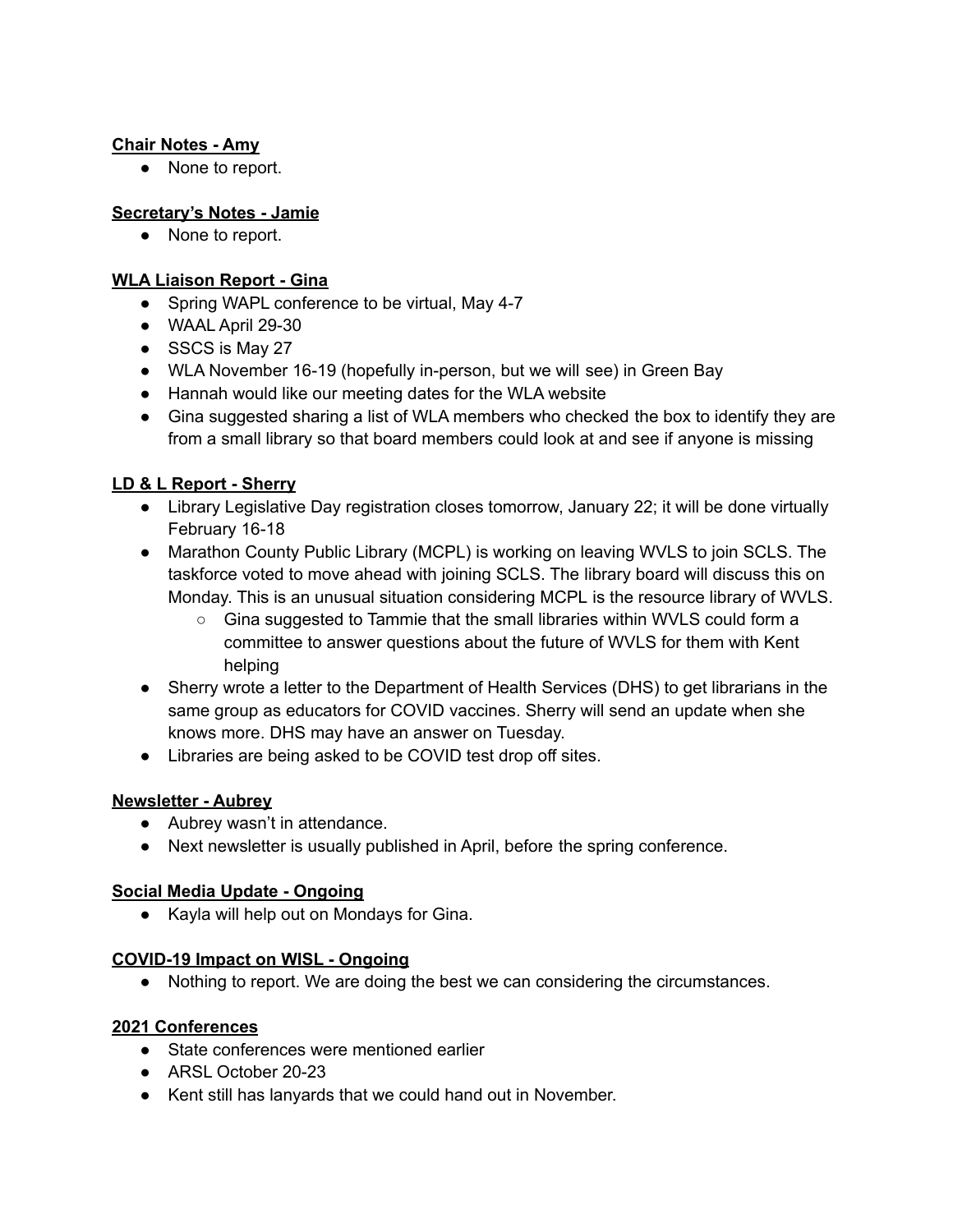### **Chair Notes - Amy**

● None to report.

## **Secretary's Notes - Jamie**

● None to report.

### **WLA Liaison Report - Gina**

- Spring WAPL conference to be virtual, May 4-7
- WAAL April 29-30
- SSCS is May 27
- WLA November 16-19 (hopefully in-person, but we will see) in Green Bay
- Hannah would like our meeting dates for the WLA website
- Gina suggested sharing a list of WLA members who checked the box to identify they are from a small library so that board members could look at and see if anyone is missing

### **LD & L Report - Sherry**

- Library Legislative Day registration closes tomorrow, January 22; it will be done virtually February 16-18
- Marathon County Public Library (MCPL) is working on leaving WVLS to join SCLS. The taskforce voted to move ahead with joining SCLS. The library board will discuss this on Monday. This is an unusual situation considering MCPL is the resource library of WVLS.
	- Gina suggested to Tammie that the small libraries within WVLS could form a committee to answer questions about the future of WVLS for them with Kent helping
- Sherry wrote a letter to the Department of Health Services (DHS) to get librarians in the same group as educators for COVID vaccines. Sherry will send an update when she knows more. DHS may have an answer on Tuesday.
- Libraries are being asked to be COVID test drop off sites.

### **Newsletter - Aubrey**

- Aubrey wasn't in attendance.
- Next newsletter is usually published in April, before the spring conference.

### **Social Media Update - Ongoing**

● Kayla will help out on Mondays for Gina.

### **COVID-19 Impact on WISL - Ongoing**

● Nothing to report. We are doing the best we can considering the circumstances.

### **2021 Conferences**

- State conferences were mentioned earlier
- ARSL October 20-23
- Kent still has lanyards that we could hand out in November.